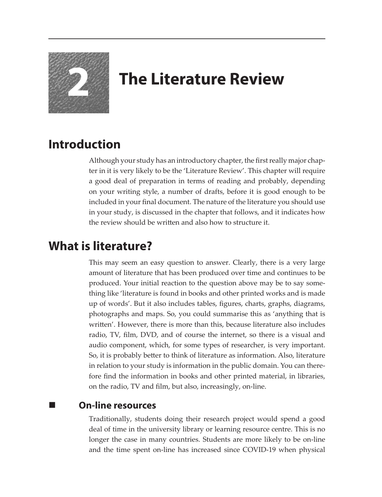

# **2 The Literature Review**

## **Introduction**

Although your study has an introductory chapter, the first really major chapter in it is very likely to be the 'Literature Review'. This chapter will require a good deal of preparation in terms of reading and probably, depending on your writing style, a number of drafts, before it is good enough to be included in your final document. The nature of the literature you should use in your study, is discussed in the chapter that follows, and it indicates how the review should be written and also how to structure it.

## **What is literature?**

This may seem an easy question to answer. Clearly, there is a very large amount of literature that has been produced over time and continues to be produced. Your initial reaction to the question above may be to say something like 'literature is found in books and other printed works and is made up of words'. But it also includes tables, figures, charts, graphs, diagrams, photographs and maps. So, you could summarise this as 'anything that is written'. However, there is more than this, because literature also includes radio, TV, film, DVD, and of course the internet, so there is a visual and audio component, which, for some types of researcher, is very important. So, it is probably better to think of literature as information. Also, literature in relation to your study is information in the public domain. You can therefore find the information in books and other printed material, in libraries, on the radio, TV and film, but also, increasingly, on-line.

### **On-line resources**

Traditionally, students doing their research project would spend a good deal of time in the university library or learning resource centre. This is no longer the case in many countries. Students are more likely to be on-line and the time spent on-line has increased since COVID-19 when physical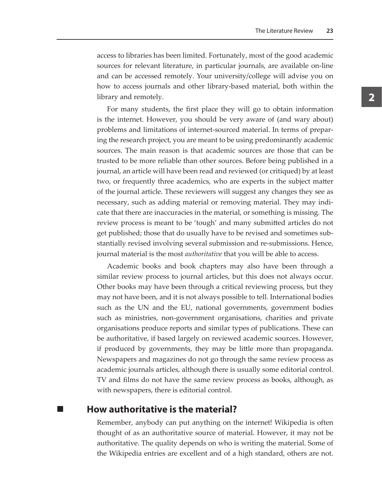access to libraries has been limited. Fortunately, most of the good academic sources for relevant literature, in particular journals, are available on-line and can be accessed remotely. Your university/college will advise you on how to access journals and other library-based material, both within the library and remotely.

For many students, the first place they will go to obtain information is the internet. However, you should be very aware of (and wary about) problems and limitations of internet-sourced material. In terms of preparing the research project, you are meant to be using predominantly academic sources. The main reason is that academic sources are those that can be trusted to be more reliable than other sources. Before being published in a journal, an article will have been read and reviewed (or critiqued) by at least two, or frequently three academics, who are experts in the subject matter of the journal article. These reviewers will suggest any changes they see as necessary, such as adding material or removing material. They may indicate that there are inaccuracies in the material, or something is missing. The review process is meant to be 'tough' and many submitted articles do not get published; those that do usually have to be revised and sometimes substantially revised involving several submission and re-submissions. Hence, journal material is the most *authoritative* that you will be able to access.

Academic books and book chapters may also have been through a similar review process to journal articles, but this does not always occur. Other books may have been through a critical reviewing process, but they may not have been, and it is not always possible to tell. International bodies such as the UN and the EU, national governments, government bodies such as ministries, non-government organisations, charities and private organisations produce reports and similar types of publications. These can be authoritative, if based largely on reviewed academic sources. However, if produced by governments, they may be little more than propaganda. Newspapers and magazines do not go through the same review process as academic journals articles, although there is usually some editorial control. TV and films do not have the same review process as books, although, as with newspapers, there is editorial control.

#### **How authoritative is the material?**

Remember, anybody can put anything on the internet! Wikipedia is often thought of as an authoritative source of material. However, it may not be authoritative. The quality depends on who is writing the material. Some of the Wikipedia entries are excellent and of a high standard, others are not.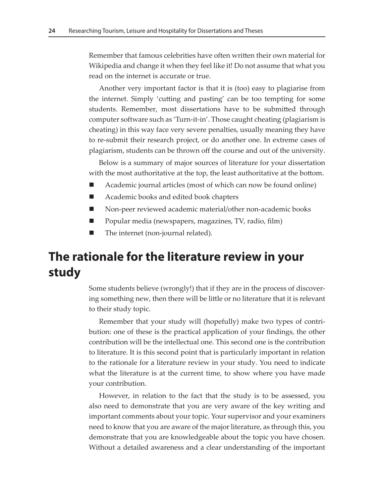Remember that famous celebrities have often written their own material for Wikipedia and change it when they feel like it! Do not assume that what you read on the internet is accurate or true.

Another very important factor is that it is (too) easy to plagiarise from the internet. Simply 'cutting and pasting' can be too tempting for some students. Remember, most dissertations have to be submitted through computer software such as 'Turn-it-in'. Those caught cheating (plagiarism is cheating) in this way face very severe penalties, usually meaning they have to re-submit their research project, or do another one. In extreme cases of plagiarism, students can be thrown off the course and out of the university.

Below is a summary of major sources of literature for your dissertation with the most authoritative at the top, the least authoritative at the bottom.

- Academic journal articles (most of which can now be found online)
- Academic books and edited book chapters
- Non-peer reviewed academic material/other non-academic books
- Popular media (newspapers, magazines, TV, radio, film)
- The internet (non-journal related).

### **The rationale for the literature review in your study**

Some students believe (wrongly!) that if they are in the process of discovering something new, then there will be little or no literature that it is relevant to their study topic.

Remember that your study will (hopefully) make two types of contribution: one of these is the practical application of your findings, the other contribution will be the intellectual one. This second one is the contribution to literature. It is this second point that is particularly important in relation to the rationale for a literature review in your study. You need to indicate what the literature is at the current time, to show where you have made your contribution.

However, in relation to the fact that the study is to be assessed, you also need to demonstrate that you are very aware of the key writing and important comments about your topic. Your supervisor and your examiners need to know that you are aware of the major literature, as through this, you demonstrate that you are knowledgeable about the topic you have chosen. Without a detailed awareness and a clear understanding of the important